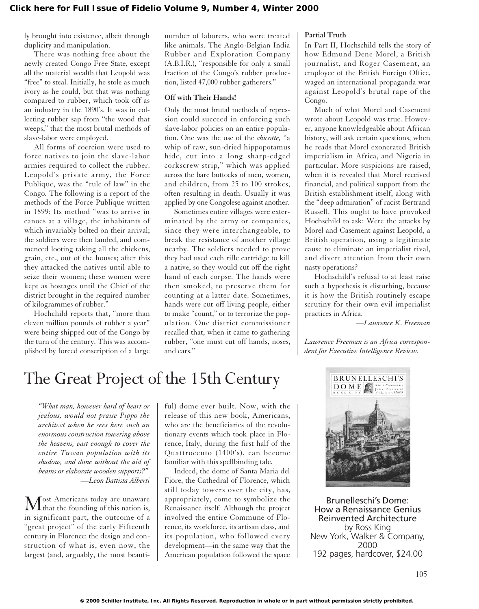ly brought into existence, albeit through duplicity and manipulation.

There was nothing free about the newly created Congo Free State, except all the material wealth that Leopold was "free" to steal. Initially, he stole as much ivory as he could, but that was nothing compared to rubber, which took off as an industry in the 1890's. It was in collecting rubber sap from "the wood that weeps," that the most brutal methods of slave-labor were employed.

All forms of coercion were used to force natives to join the slave-labor armies required to collect the rubber. Leopold's private army, the Force Publique, was the "rule of law" in the Congo. The following is a report of the methods of the Force Publique written in 1899: Its method "was to arrive in canoes at a village, the inhabitants of which invariably bolted on their arrival; the soldiers were then landed, and commenced looting taking all the chickens, grain, etc., out of the houses; after this they attacked the natives until able to seize their women; these women were kept as hostages until the Chief of the district brought in the required number of kilogrammes of rubber."

Hochchild reports that, "more than eleven million pounds of rubber a year" were being shipped out of the Congo by the turn of the century. This was accomplished by forced conscription of a large

number of laborers, who were treated like animals. The Anglo-Belgian India Rubber and Exploration Company (A.B.I.R.), "responsible for only a small fraction of the Congo's rubber production, listed 47,000 rubber gatherers."

## **Off with Their Hands!**

Only the most brutal methods of repression could succeed in enforcing such slave-labor policies on an entire population. One was the use of the *chicotte,* "a whip of raw, sun-dried hippopotamus hide, cut into a long sharp-edged corkscrew strip," which was applied across the bare buttocks of men, women, and children, from 25 to 100 strokes, often resulting in death. Usually it was applied by one Congolese against another.

Sometimes entire villages were exterminated by the army or companies, since they were interchangeable, to break the resistance of another village nearby. The soldiers needed to prove they had used each rifle cartridge to kill a native, so they would cut off the right hand of each corpse. The hands were then smoked, to preserve them for counting at a latter date. Sometimes, hands were cut off living people, either to make "count," or to terrorize the population. One district commissioner recalled that, when it came to gathering rubber, "one must cut off hands, noses, and ears."

#### **Partial Truth**

In Part II, Hochschild tells the story of how Edmund Dene Morel, a British journalist, and Roger Casement, an employee of the British Foreign Office, waged an international propaganda war against Leopold's brutal rape of the Congo.

Much of what Morel and Casement wrote about Leopold was true. However, anyone knowledgeable about African history, will ask certain questions, when he reads that Morel exonerated British imperialism in Africa, and Nigeria in particular. More suspicions are raised, when it is revealed that Morel received financial, and political support from the British establishment itself, along with the "deep admiration" of racist Bertrand Russell. This ought to have provoked Hochschild to ask: Were the attacks by Morel and Casement against Leopold, a British operation, using a legitimate cause to eliminate an imperialist rival, and divert attention from their own nasty operations?

Hochschild's refusal to at least raise such a hypothesis is disturbing, because it is how the British routinely escape scrutiny for their own evil imperialist practices in Africa.

*—Lawrence K. Freeman*

*Lawrence Freeman is an Africa correspondent for Executive Intelligence Review.*

# The Great Project of the 15th Century

*"What man, however hard of heart or jealous, would not praise Pippo the architect when he sees here such an enormous construction towering above the heavens, vast enough to cover the entire Tuscan population with its shadow, and done without the aid of beams or elaborate wooden supports?" —Leon Battista Alberti*

Most Americans today are unaware<br>that the founding of this nation is, in significant part, the outcome of a "great project" of the early Fifteenth century in Florence: the design and construction of what is, even now, the largest (and, arguably, the most beautiful) dome ever built. Now, with the release of this new book, Americans, who are the beneficiaries of the revolutionary events which took place in Florence, Italy, during the first half of the Quattrocento (1400's), can become familiar with this spellbinding tale.

Indeed, the dome of Santa Maria del Fiore, the Cathedral of Florence, which still today towers over the city, has, appropriately, come to symbolize the Renaissance itself. Although the project involved the entire Commune of Florence, its workforce, its artisan class, and its population, who followed every development—in the same way that the American population followed the space



Brunelleschi's Dome: How a Renaissance Genius Reinvented Architecture by Ross King New York, Walker & Company, 2000 192 pages, hardcover, \$24.00